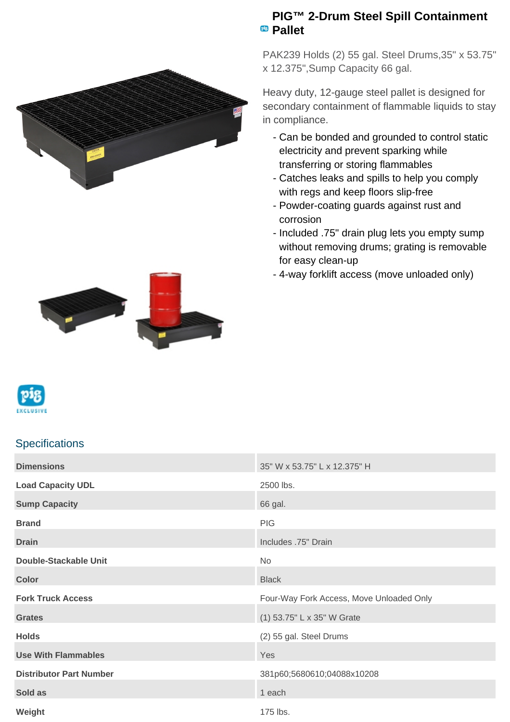

## **PIG™ 2-Drum Steel Spill Containment Pallet**

PAK239 Holds (2) 55 gal. Steel Drums,35" x 53.75" x 12.375",Sump Capacity 66 gal.

Heavy duty, 12-gauge steel pallet is designed for secondary containment of flammable liquids to stay in compliance.

- Can be bonded and grounded to control static electricity and prevent sparking while transferring or storing flammables
- Catches leaks and spills to help you comply with regs and keep floors slip-free
- Powder-coating guards against rust and corrosion
- Included .75" drain plug lets you empty sump without removing drums; grating is removable for easy clean-up
- 4-way forklift access (move unloaded only)





## **Specifications**

| <b>Dimensions</b>              | 35" W x 53.75" L x 12.375" H             |
|--------------------------------|------------------------------------------|
| <b>Load Capacity UDL</b>       | 2500 lbs.                                |
| <b>Sump Capacity</b>           | 66 gal.                                  |
| <b>Brand</b>                   | <b>PIG</b>                               |
| <b>Drain</b>                   | Includes .75" Drain                      |
| Double-Stackable Unit          | No                                       |
| <b>Color</b>                   | <b>Black</b>                             |
| <b>Fork Truck Access</b>       | Four-Way Fork Access, Move Unloaded Only |
| <b>Grates</b>                  | (1) 53.75" L x 35" W Grate               |
| <b>Holds</b>                   | (2) 55 gal. Steel Drums                  |
| <b>Use With Flammables</b>     | Yes                                      |
| <b>Distributor Part Number</b> | 381p60;5680610;04088x10208               |
| Sold as                        | 1 each                                   |
| Weight                         | 175 lbs.                                 |